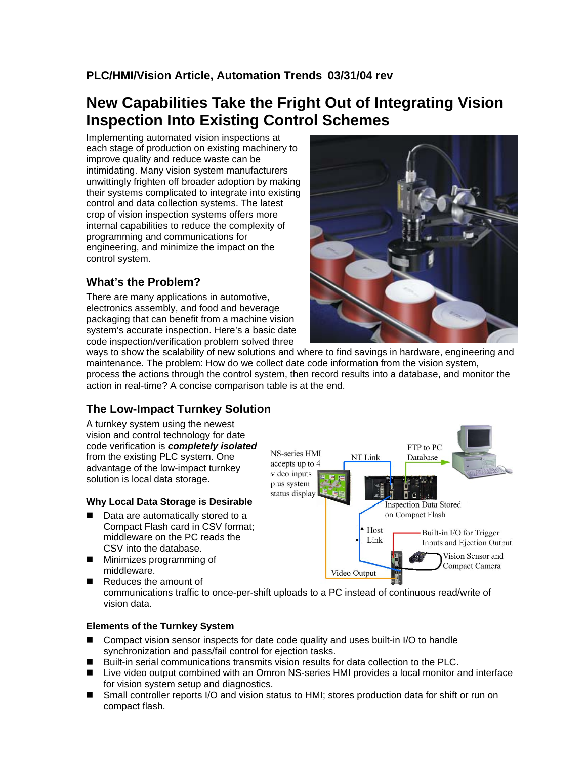### **PLC/HMI/Vision Article, Automation Trends 03/31/04 rev**

# **New Capabilities Take the Fright Out of Integrating Vision Inspection Into Existing Control Schemes**

Implementing automated vision inspections at each stage of production on existing machinery to improve quality and reduce waste can be intimidating. Many vision system manufacturers unwittingly frighten off broader adoption by making their systems complicated to integrate into existing control and data collection systems. The latest crop of vision inspection systems offers more internal capabilities to reduce the complexity of programming and communications for engineering, and minimize the impact on the control system.

# **What's the Problem?**

There are many applications in automotive, electronics assembly, and food and beverage packaging that can benefit from a machine vision system's accurate inspection. Here's a basic date code inspection/verification problem solved three



ways to show the scalability of new solutions and where to find savings in hardware, engineering and maintenance. The problem: How do we collect date code information from the vision system, process the actions through the control system, then record results into a database, and monitor the action in real-time? A concise comparison table is at the end.

# **The Low-Impact Turnkey Solution**

A turnkey system using the newest vision and control technology for date code verification is *completely isolated* from the existing PLC system. One advantage of the low-impact turnkey solution is local data storage.

#### **Why Local Data Storage is Desirable**

- Data are automatically stored to a Compact Flash card in CSV format; middleware on the PC reads the CSV into the database.
- **Minimizes programming of** middleware.

Reduces the amount of



communications traffic to once-per-shift uploads to a PC instead of continuous read/write of vision data.

#### **Elements of the Turnkey System**

- Compact vision sensor inspects for date code quality and uses built-in I/O to handle synchronization and pass/fail control for ejection tasks.
- Built-in serial communications transmits vision results for data collection to the PLC.
- Live video output combined with an Omron NS-series HMI provides a local monitor and interface for vision system setup and diagnostics.
- Small controller reports I/O and vision status to HMI; stores production data for shift or run on compact flash.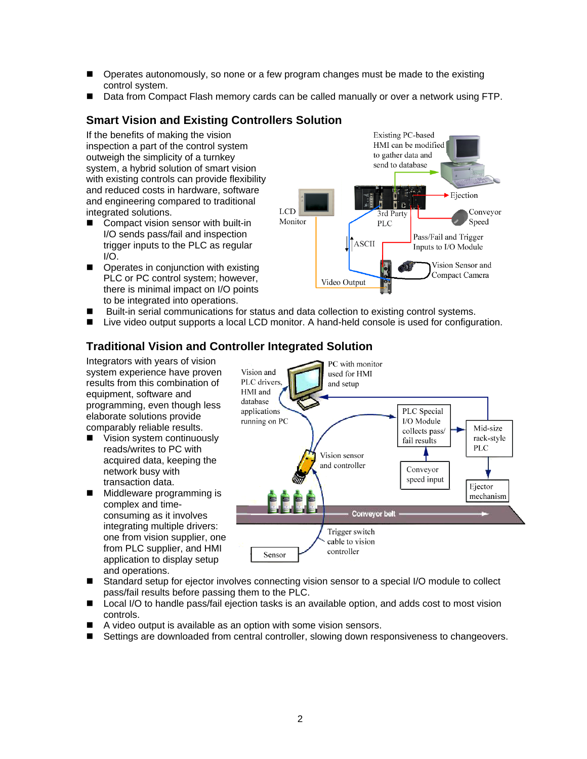- **Dearates autonomously, so none or a few program changes must be made to the existing** control system.
- Data from Compact Flash memory cards can be called manually or over a network using FTP.

### **Smart Vision and Existing Controllers Solution**

If the benefits of making the vision inspection a part of the control system outweigh the simplicity of a turnkey system, a hybrid solution of smart vision with existing controls can provide flexibility and reduced costs in hardware, software and engineering compared to traditional integrated solutions.

- Compact vision sensor with built-in I/O sends pass/fail and inspection trigger inputs to the PLC as regular  $I/O$
- Operates in conjunction with existing PLC or PC control system; however, there is minimal impact on I/O points to be integrated into operations.



- Built-in serial communications for status and data collection to existing control systems.
- Live video output supports a local LCD monitor. A hand-held console is used for configuration.

### **Traditional Vision and Controller Integrated Solution**

Integrators with years of vision system experience have proven results from this combination of equipment, software and programming, even though less elaborate solutions provide comparably reliable results.

- Vision system continuously reads/writes to PC with acquired data, keeping the network busy with transaction data.
- **Middleware programming is** complex and timeconsuming as it involves integrating multiple drivers: one from vision supplier, one from PLC supplier, and HMI application to display setup and operations.



- Standard setup for ejector involves connecting vision sensor to a special I/O module to collect pass/fail results before passing them to the PLC.
- Local I/O to handle pass/fail ejection tasks is an available option, and adds cost to most vision controls.
- A video output is available as an option with some vision sensors.
- **B** Settings are downloaded from central controller, slowing down responsiveness to changeovers.